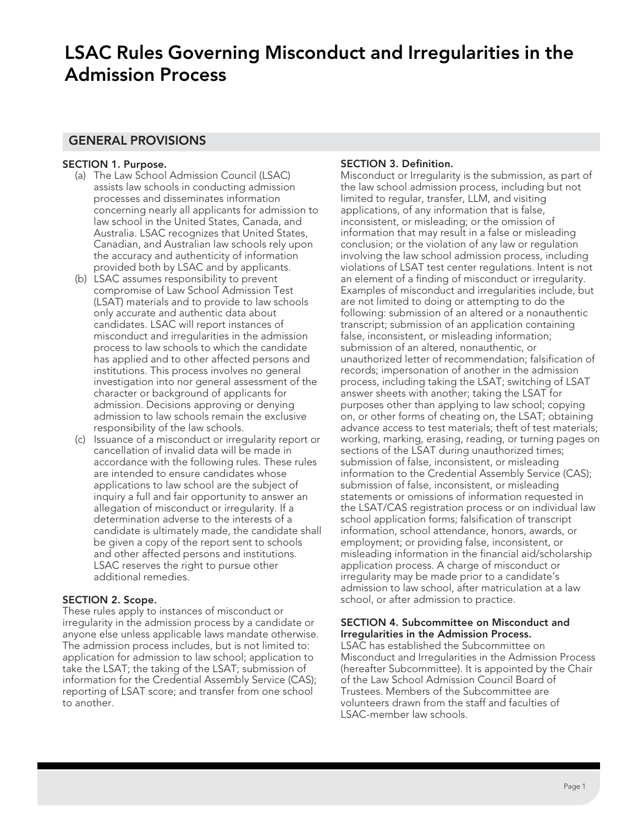# **LSAC Rules Governing Misconduct and Irregularities in the Admission Process**

### **GENERAL PROVISIONS**

### **SECTION 1. Purpose.**

- (a) The Law School Admission Council (LSAC) assists law schools in conducting admission processes and disseminates information concerning nearly all applicants for admission to law school in the United States, Canada, and Australia. LSAC recognizes that United States, Canadian, and Australian law schools rely upon the accuracy and authenticity of information provided both by LSAC and by applicants.
- (b) LSAC assumes responsibility to prevent compromise of Law School Admission Test (LSAT) materials and to provide to law schools only accurate and authentic data about candidates. LSAC will report instances of misconduct and irregularities in the admission process to law schools to which the candidate has applied and to other affected persons and institutions. This process involves no general investigation into nor general assessment of the character or background of applicants for admission. Decisions approving or denying admission to law schools remain the exclusive responsibility of the law schools.
- (c) Issuance of a misconduct or irregularity report or cancellation of invalid data will be made in accordance with the following rules. These rules are intended to ensure candidates whose applications to law school are the subject of inquiry a full and fair opportunity to answer an allegation of misconduct or irregularity. If a determination adverse to the interests of a candidate is ultimately made, the candidate shall be given a copy of the report sent to schools and other affected persons and institutions. LSAC reserves the right to pursue other additional remedies.

### **SECTION 2. Scope.**

These rules apply to instances of misconduct or irregularity in the admission process by a candidate or anyone else unless applicable laws mandate otherwise. The admission process includes, but is not limited to: application for admission to law school; application to take the LSAT; the taking of the LSAT; submission of information for the Credential Assembly Service (CAS); reporting of LSAT score; and transfer from one school to another.

### **SECTION 3. Definition.**

Misconduct or Irregularity is the submission, as part of the law school admission process, including but not limited to regular, transfer, LLM, and visiting applications, of any information that is false, inconsistent, or misleading; or the omission of information that may result in a false or misleading conclusion; or the violation of any law or regulation involving the law school admission process, including violations of LSAT test center regulations. Intent is not an element of a finding of misconduct or irregularity. Examples of misconduct and irregularities include, but are not limited to doing or attempting to do the following: submission of an altered or a nonauthentic transcript; submission of an application containing false, inconsistent, or misleading information; submission of an altered, nonauthentic, or unauthorized letter of recommendation; falsification of records; impersonation of another in the admission process, including taking the LSAT; switching of LSAT answer sheets with another; taking the LSAT for purposes other than applying to law school; copying on, or other forms of cheating on, the LSAT; obtaining advance access to test materials; theft of test materials; working, marking, erasing, reading, or turning pages on sections of the LSAT during unauthorized times; submission of false, inconsistent, or misleading information to the Credential Assembly Service (CAS); submission of false, inconsistent, or misleading statements or omissions of information requested in the LSAT/CAS registration process or on individual law school application forms; falsification of transcript information, school attendance, honors, awards, or employment; or providing false, inconsistent, or misleading information in the financial aid/scholarship application process. A charge of misconduct or irregularity may be made prior to a candidate's admission to law school, after matriculation at a law school, or after admission to practice.

### **SECTION 4. Subcommittee on Misconduct and Irregularities in the Admission Process.**

LSAC has established the Subcommittee on Misconduct and Irregularities in the Admission Process (hereafter Subcommittee). It is appointed by the Chair of the Law School Admission Council Board of Trustees. Members of the Subcommittee are volunteers drawn from the staff and faculties of LSAC-member law schools.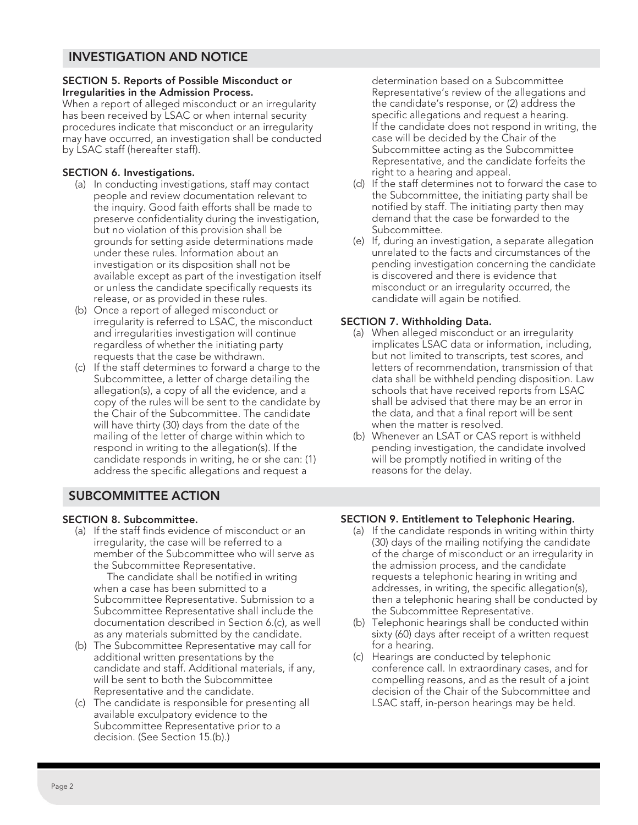## **INVESTIGATION AND NOTICE**

### **SECTION 5. Reports of Possible Misconduct or Irregularities in the Admission Process.**

When a report of alleged misconduct or an irregularity has been received by LSAC or when internal security procedures indicate that misconduct or an irregularity may have occurred, an investigation shall be conducted by LSAC staff (hereafter staff).

### **SECTION 6. Investigations.**

- (a) In conducting investigations, staff may contact people and review documentation relevant to the inquiry. Good faith efforts shall be made to preserve confidentiality during the investigation, but no violation of this provision shall be grounds for setting aside determinations made under these rules. Information about an investigation or its disposition shall not be available except as part of the investigation itself or unless the candidate specifically requests its release, or as provided in these rules.
- (b) Once a report of alleged misconduct or irregularity is referred to LSAC, the misconduct and irregularities investigation will continue regardless of whether the initiating party requests that the case be withdrawn.
- (c) If the staff determines to forward a charge to the Subcommittee, a letter of charge detailing the allegation(s), a copy of all the evidence, and a copy of the rules will be sent to the candidate by the Chair of the Subcommittee. The candidate will have thirty (30) days from the date of the mailing of the letter of charge within which to respond in writing to the allegation(s). If the candidate responds in writing, he or she can: (1) address the specific allegations and request a

determination based on a Subcommittee Representative's review of the allegations and the candidate's response, or (2) address the specific allegations and request a hearing. If the candidate does not respond in writing, the case will be decided by the Chair of the Subcommittee acting as the Subcommittee Representative, and the candidate forfeits the right to a hearing and appeal.

- (d) If the staff determines not to forward the case to the Subcommittee, the initiating party shall be notified by staff. The initiating party then may demand that the case be forwarded to the Subcommittee.
- (e) If, during an investigation, a separate allegation unrelated to the facts and circumstances of the pending investigation concerning the candidate is discovered and there is evidence that misconduct or an irregularity occurred, the candidate will again be notified.

### **SECTION 7. Withholding Data.**

- (a) When alleged misconduct or an irregularity implicates LSAC data or information, including, but not limited to transcripts, test scores, and letters of recommendation, transmission of that data shall be withheld pending disposition. Law schools that have received reports from LSAC shall be advised that there may be an error in the data, and that a final report will be sent when the matter is resolved.
- (b) Whenever an LSAT or CAS report is withheld pending investigation, the candidate involved will be promptly notified in writing of the reasons for the delay.

# **SUBCOMMITTEE ACTION**

### **SECTION 8. Subcommittee.**

(a) If the staff finds evidence of misconduct or an irregularity, the case will be referred to a member of the Subcommittee who will serve as the Subcommittee Representative.

The candidate shall be notified in writing when a case has been submitted to a Subcommittee Representative. Submission to a Subcommittee Representative shall include the documentation described in Section 6.(c), as well as any materials submitted by the candidate.

- (b) The Subcommittee Representative may call for additional written presentations by the candidate and staff. Additional materials, if any, will be sent to both the Subcommittee Representative and the candidate.
- (c) The candidate is responsible for presenting all available exculpatory evidence to the Subcommittee Representative prior to a decision. (See Section 15.(b).)

### **SECTION 9. Entitlement to Telephonic Hearing.**

- (a) If the candidate responds in writing within thirty (30) days of the mailing notifying the candidate of the charge of misconduct or an irregularity in the admission process, and the candidate requests a telephonic hearing in writing and addresses, in writing, the specific allegation(s), then a telephonic hearing shall be conducted by the Subcommittee Representative.
- (b) Telephonic hearings shall be conducted within sixty (60) days after receipt of a written request for a hearing.
- (c) Hearings are conducted by telephonic conference call. In extraordinary cases, and for compelling reasons, and as the result of a joint decision of the Chair of the Subcommittee and LSAC staff, in-person hearings may be held.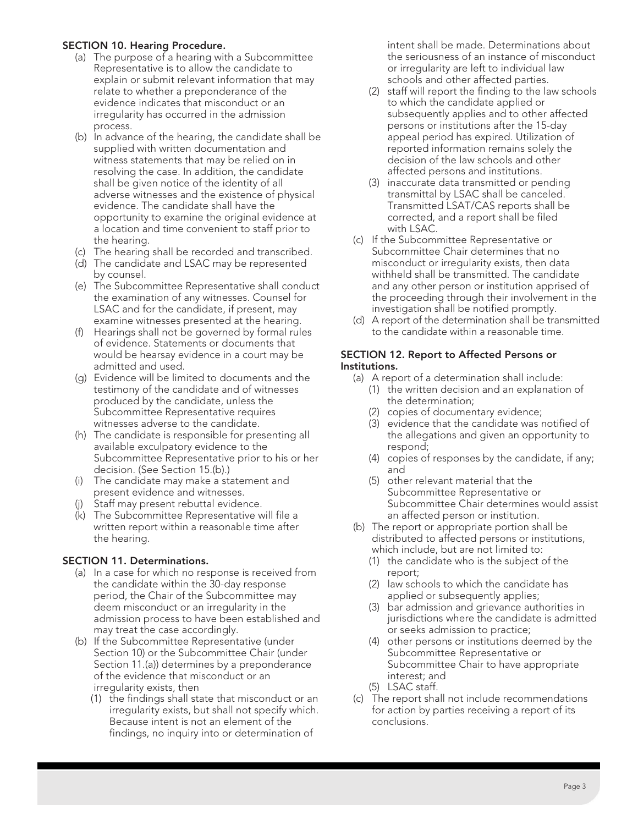### **SECTION 10. Hearing Procedure.**

- (a) The purpose of a hearing with a Subcommittee Representative is to allow the candidate to explain or submit relevant information that may relate to whether a preponderance of the evidence indicates that misconduct or an irregularity has occurred in the admission process.
- (b) In advance of the hearing, the candidate shall be supplied with written documentation and witness statements that may be relied on in resolving the case. In addition, the candidate shall be given notice of the identity of all adverse witnesses and the existence of physical evidence. The candidate shall have the opportunity to examine the original evidence at a location and time convenient to staff prior to the hearing.
- (c) The hearing shall be recorded and transcribed.
- (d) The candidate and LSAC may be represented by counsel.
- (e) The Subcommittee Representative shall conduct the examination of any witnesses. Counsel for LSAC and for the candidate, if present, may examine witnesses presented at the hearing.
- (f) Hearings shall not be governed by formal rules of evidence. Statements or documents that would be hearsay evidence in a court may be admitted and used.
- (g) Evidence will be limited to documents and the testimony of the candidate and of witnesses produced by the candidate, unless the Subcommittee Representative requires witnesses adverse to the candidate.
- (h) The candidate is responsible for presenting all available exculpatory evidence to the Subcommittee Representative prior to his or her decision. (See Section 15.(b).)
- (i) The candidate may make a statement and present evidence and witnesses.
- (i) Staff may present rebuttal evidence.
- (k) The Subcommittee Representative will file a written report within a reasonable time after the hearing.

### **SECTION 11. Determinations.**

- (a) In a case for which no response is received from the candidate within the 30-day response period, the Chair of the Subcommittee may deem misconduct or an irregularity in the admission process to have been established and may treat the case accordingly.
- (b) If the Subcommittee Representative (under Section 10) or the Subcommittee Chair (under Section 11.(a)) determines by a preponderance of the evidence that misconduct or an irregularity exists, then
	- (1) the findings shall state that misconduct or an irregularity exists, but shall not specify which. Because intent is not an element of the findings, no inquiry into or determination of

intent shall be made. Determinations about the seriousness of an instance of misconduct or irregularity are left to individual law schools and other affected parties.

- (2) staff will report the finding to the law schools to which the candidate applied or subsequently applies and to other affected persons or institutions after the 15-day appeal period has expired. Utilization of reported information remains solely the decision of the law schools and other affected persons and institutions.
- (3) inaccurate data transmitted or pending transmittal by LSAC shall be canceled. Transmitted LSAT/CAS reports shall be corrected, and a report shall be filed with LSAC.
- (c) If the Subcommittee Representative or Subcommittee Chair determines that no misconduct or irregularity exists, then data withheld shall be transmitted. The candidate and any other person or institution apprised of the proceeding through their involvement in the investigation shall be notified promptly.
- (d) A report of the determination shall be transmitted to the candidate within a reasonable time.

### **SECTION 12. Report to Affected Persons or Institutions.**

- (a) A report of a determination shall include:
	- (1) the written decision and an explanation of the determination;
	- (2) copies of documentary evidence;
	- (3) evidence that the candidate was notified of the allegations and given an opportunity to respond;
	- (4) copies of responses by the candidate, if any; and
	- (5) other relevant material that the Subcommittee Representative or Subcommittee Chair determines would assist an affected person or institution.
- (b) The report or appropriate portion shall be distributed to affected persons or institutions, which include, but are not limited to:
	- (1) the candidate who is the subject of the report;
	- (2) law schools to which the candidate has applied or subsequently applies;
	- (3) bar admission and grievance authorities in jurisdictions where the candidate is admitted or seeks admission to practice;
	- (4) other persons or institutions deemed by the Subcommittee Representative or Subcommittee Chair to have appropriate interest; and
	- (5) LSAC staff.
- (c) The report shall not include recommendations for action by parties receiving a report of its conclusions.